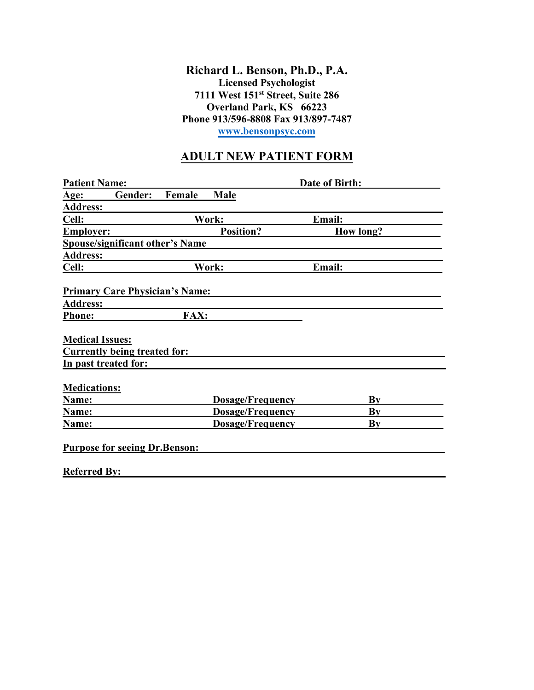**Richard L. Benson, Ph.D., P.A. Licensed Psychologist 7111 West 151st Street, Suite 286 Overland Park, KS 66223 Phone 913/596-8808 Fax 913/897-7487 [www.bensonpsyc.com](http://www.bensonpsyc.com/)**

## **ADULT NEW PATIENT FORM**

| <b>Patient Name:</b>                   |                  | Date of Birth:          |               |    |
|----------------------------------------|------------------|-------------------------|---------------|----|
| Gender:<br><u>Age:</u>                 | Female           | Male                    |               |    |
| <b>Address:</b>                        |                  |                         |               |    |
| Cell:                                  | Work:            |                         | Email:        |    |
| <b>Employer:</b>                       | <b>Position?</b> |                         | How long?     |    |
| <b>Spouse/significant other's Name</b> |                  |                         |               |    |
| <b>Address:</b>                        |                  |                         |               |    |
| Cell:                                  | Work:            |                         | <b>Email:</b> |    |
|                                        |                  |                         |               |    |
| <b>Primary Care Physician's Name:</b>  |                  |                         |               |    |
| <b>Address:</b>                        |                  |                         |               |    |
| <b>Phone:</b>                          | <b>FAX:</b>      |                         |               |    |
|                                        |                  |                         |               |    |
| <b>Medical Issues:</b>                 |                  |                         |               |    |
| <b>Currently being treated for:</b>    |                  |                         |               |    |
| In past treated for:                   |                  |                         |               |    |
|                                        |                  |                         |               |    |
| <b>Medications:</b>                    |                  |                         |               |    |
| Name:                                  |                  | <b>Dosage/Frequency</b> |               | Bv |
| Name:                                  |                  | <b>Dosage/Frequency</b> |               | By |
| Name:                                  |                  | <b>Dosage/Frequency</b> |               | Bv |
|                                        |                  |                         |               |    |
| <b>Purpose for seeing Dr. Benson:</b>  |                  |                         |               |    |
|                                        |                  |                         |               |    |
| <b>Referred By:</b>                    |                  |                         |               |    |